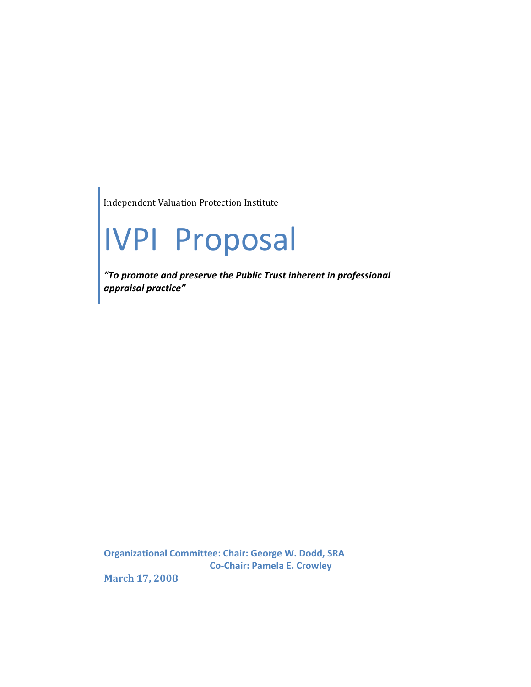Independent Valuation Protection Institute

# IVPI Proposal

*"To promote and preserve the Public Trust inherent in professional appraisal practice"*

**Organizational Committee: Chair: George W. Dodd, SRA Co‐Chair: Pamela E. Crowley**

**March 17, 2008**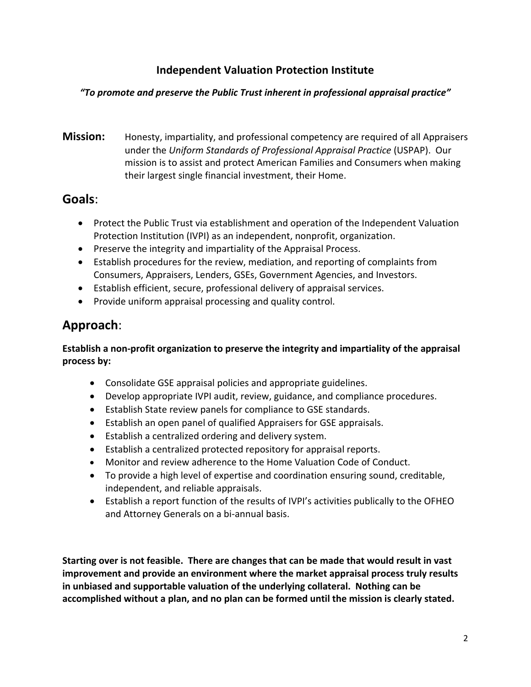## **Independent Valuation Protection Institute**

#### *"To promote and preserve the Public Trust inherent in professional appraisal practice"*

**Mission:** Honesty, impartiality, and professional competency are required of all Appraisers under the *Uniform Standards of Professional Appraisal Practice* (USPAP). Our mission is to assist and protect American Families and Consumers when making their largest single financial investment, their Home.

## **Goals**:

- Protect the Public Trust via establishment and operation of the Independent Valuation Protection Institution (IVPI) as an independent, nonprofit, organization.
- Preserve the integrity and impartiality of the Appraisal Process.
- Establish procedures for the review, mediation, and reporting of complaints from Consumers, Appraisers, Lenders, GSEs, Government Agencies, and Investors.
- Establish efficient, secure, professional delivery of appraisal services.
- Provide uniform appraisal processing and quality control.

## **Approach**:

#### **Establish a non‐profit organization to preserve the integrity and impartiality of the appraisal process by:**

- Consolidate GSE appraisal policies and appropriate guidelines.
- Develop appropriate IVPI audit, review, guidance, and compliance procedures.
- Establish State review panels for compliance to GSE standards.
- Establish an open panel of qualified Appraisers for GSE appraisals.
- Establish a centralized ordering and delivery system.
- Establish a centralized protected repository for appraisal reports.
- Monitor and review adherence to the Home Valuation Code of Conduct.
- To provide a high level of expertise and coordination ensuring sound, creditable, independent, and reliable appraisals.
- Establish a report function of the results of IVPI's activities publically to the OFHEO and Attorney Generals on a bi-annual basis.

**Starting over is not feasible. There are changes that can be made that would result in vast improvement and provide an environment where the market appraisal process truly results in unbiased and supportable valuation of the underlying collateral. Nothing can be accomplished without a plan, and no plan can be formed until the mission is clearly stated.**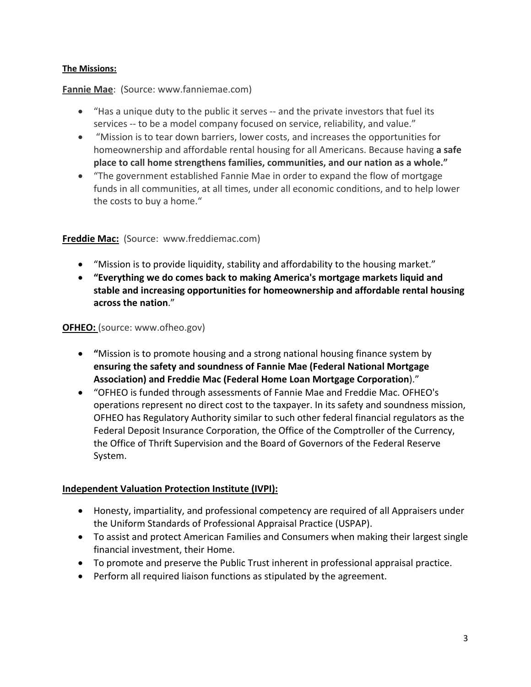#### **The Missions:**

#### **Fannie Mae**: (Source: www.fanniemae.com)

- "Has a unique duty to the public it serves -- and the private investors that fuel its services -- to be a model company focused on service, reliability, and value."
- "Mission is to tear down barriers, lower costs, and increases the opportunities for homeownership and affordable rental housing for all Americans. Because having **a safe place to call home strengthens families, communities, and our nation as a whole."**
- "The government established Fannie Mae in order to expand the flow of mortgage funds in all communities, at all times, under all economic conditions, and to help lower the costs to buy a home."

#### **Freddie Mac:** (Source: www.freddiemac.com)

- "Mission is to provide liquidity, stability and affordability to the housing market."
- **"Everything we do comes back to making America's mortgage markets liquid and stable and increasing opportunities for homeownership and affordable rental housing across the nation**."

#### **OFHEO:** (source: www.ofheo.gov)

- **"**Mission is to promote housing and a strong national housing finance system by **ensuring the safety and soundness of Fannie Mae (Federal National Mortgage Association) and Freddie Mac (Federal Home Loan Mortgage Corporation**)."
- "OFHEO is funded through assessments of Fannie Mae and Freddie Mac. OFHEO's operations represent no direct cost to the taxpayer. In its safety and soundness mission, OFHEO has Regulatory Authority similar to such other federal financial regulators as the Federal Deposit Insurance Corporation, the Office of the Comptroller of the Currency, the Office of Thrift Supervision and the Board of Governors of the Federal Reserve System.

#### **Independent Valuation Protection Institute (IVPI):**

- Honesty, impartiality, and professional competency are required of all Appraisers under the Uniform Standards of Professional Appraisal Practice (USPAP).
- To assist and protect American Families and Consumers when making their largest single financial investment, their Home.
- To promote and preserve the Public Trust inherent in professional appraisal practice.
- Perform all required liaison functions as stipulated by the agreement.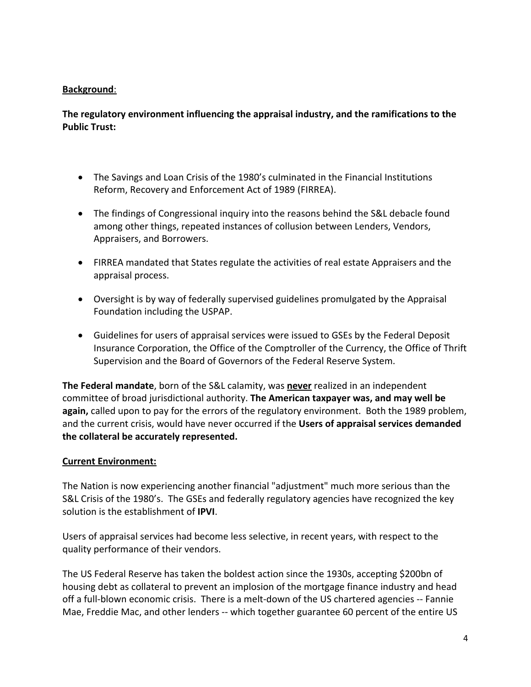#### **Background**:

#### **The regulatory environment influencing the appraisal industry, and the ramifications to the Public Trust:**

- The Savings and Loan Crisis of the 1980's culminated in the Financial Institutions Reform, Recovery and Enforcement Act of 1989 (FIRREA).
- The findings of Congressional inquiry into the reasons behind the S&L debacle found among other things, repeated instances of collusion between Lenders, Vendors, Appraisers, and Borrowers.
- FIRREA mandated that States regulate the activities of real estate Appraisers and the appraisal process.
- Oversight is by way of federally supervised guidelines promulgated by the Appraisal Foundation including the USPAP.
- Guidelines for users of appraisal services were issued to GSEs by the Federal Deposit Insurance Corporation, the Office of the Comptroller of the Currency, the Office of Thrift Supervision and the Board of Governors of the Federal Reserve System.

**The Federal mandate**, born of the S&L calamity, was **never** realized in an independent committee of broad jurisdictional authority. **The American taxpayer was, and may well be again,** called upon to pay for the errors of the regulatory environment. Both the 1989 problem, and the current crisis, would have never occurred if the **Users of appraisal services demanded the collateral be accurately represented.**

#### **Current Environment:**

The Nation is now experiencing another financial "adjustment" much more serious than the S&L Crisis of the 1980's. The GSEs and federally regulatory agencies have recognized the key solution is the establishment of **IPVI**.

Users of appraisal services had become less selective, in recent years, with respect to the quality performance of their vendors.

The US Federal Reserve has taken the boldest action since the 1930s, accepting \$200bn of housing debt as collateral to prevent an implosion of the mortgage finance industry and head off a full‐blown economic crisis. There is a melt‐down of the US chartered agencies ‐‐ Fannie Mae, Freddie Mac, and other lenders ‐‐ which together guarantee 60 percent of the entire US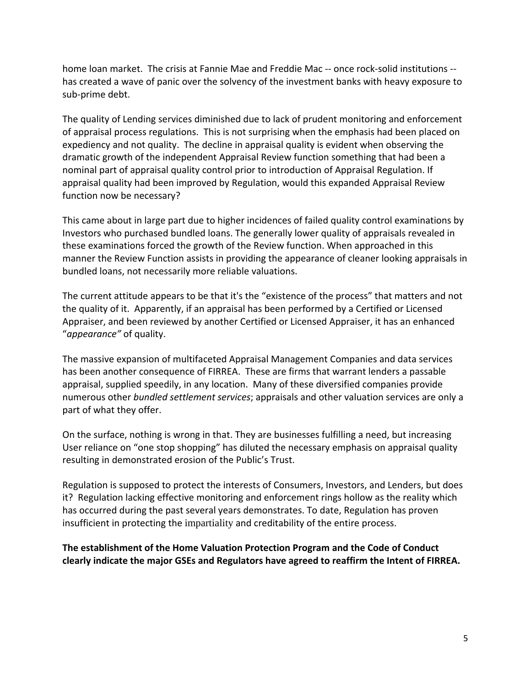home loan market. The crisis at Fannie Mae and Freddie Mac ‐‐ once rock‐solid institutions ‐‐ has created a wave of panic over the solvency of the investment banks with heavy exposure to sub‐prime debt.

The quality of Lending services diminished due to lack of prudent monitoring and enforcement of appraisal process regulations. This is not surprising when the emphasis had been placed on expediency and not quality. The decline in appraisal quality is evident when observing the dramatic growth of the independent Appraisal Review function something that had been a nominal part of appraisal quality control prior to introduction of Appraisal Regulation. If appraisal quality had been improved by Regulation, would this expanded Appraisal Review function now be necessary?

This came about in large part due to higher incidences of failed quality control examinations by Investors who purchased bundled loans. The generally lower quality of appraisals revealed in these examinations forced the growth of the Review function. When approached in this manner the Review Function assists in providing the appearance of cleaner looking appraisals in bundled loans, not necessarily more reliable valuations.

The current attitude appears to be that it's the "existence of the process" that matters and not the quality of it. Apparently, if an appraisal has been performed by a Certified or Licensed Appraiser, and been reviewed by another Certified or Licensed Appraiser, it has an enhanced "*appearance"* of quality.

The massive expansion of multifaceted Appraisal Management Companies and data services has been another consequence of FIRREA. These are firms that warrant lenders a passable appraisal, supplied speedily, in any location. Many of these diversified companies provide numerous other *bundled settlement services*; appraisals and other valuation services are only a part of what they offer.

On the surface, nothing is wrong in that. They are businesses fulfilling a need, but increasing User reliance on "one stop shopping" has diluted the necessary emphasis on appraisal quality resulting in demonstrated erosion of the Public's Trust.

Regulation is supposed to protect the interests of Consumers, Investors, and Lenders, but does it? Regulation lacking effective monitoring and enforcement rings hollow as the reality which has occurred during the past several years demonstrates. To date, Regulation has proven insufficient in protecting the impartiality and creditability of the entire process.

**The establishment of the Home Valuation Protection Program and the Code of Conduct clearly indicate the major GSEs and Regulators have agreed to reaffirm the Intent of FIRREA.**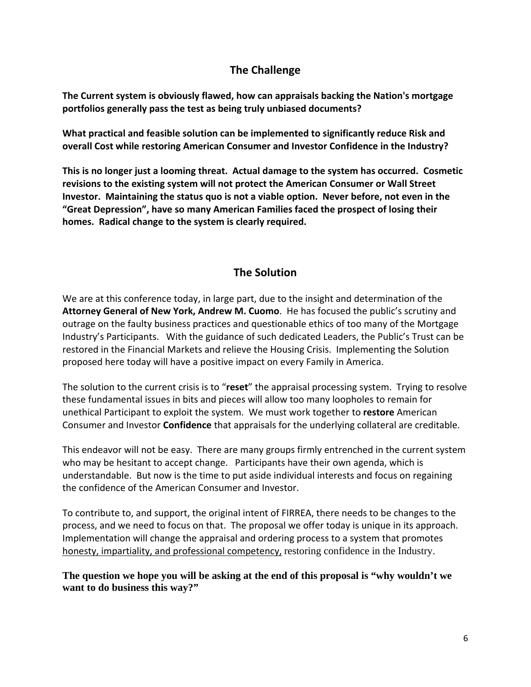## **The Challenge**

**The Current system is obviously flawed, how can appraisals backing the Nation's mortgage portfolios generally pass the test as being truly unbiased documents?** 

**What practical and feasible solution can be implemented to significantly reduce Risk and overall Cost while restoring American Consumer and Investor Confidence in the Industry?**

**This is no longer just a looming threat. Actual damage to the system has occurred. Cosmetic revisions to the existing system will not protect the American Consumer or Wall Street Investor. Maintaining the status quo is not a viable option. Never before, not even in the "Great Depression", have so many American Families faced the prospect of losing their homes. Radical change to the system is clearly required.**

## **The Solution**

We are at this conference today, in large part, due to the insight and determination of the **Attorney General of New York, Andrew M. Cuomo**. He has focused the public's scrutiny and outrage on the faulty business practices and questionable ethics of too many of the Mortgage Industry's Participants. With the guidance of such dedicated Leaders, the Public's Trust can be restored in the Financial Markets and relieve the Housing Crisis. Implementing the Solution proposed here today will have a positive impact on every Family in America.

The solution to the current crisis is to "**reset**" the appraisal processing system. Trying to resolve these fundamental issues in bits and pieces will allow too many loopholes to remain for unethical Participant to exploit the system. We must work together to **restore** American Consumer and Investor **Confidence** that appraisals for the underlying collateral are creditable.

This endeavor will not be easy. There are many groups firmly entrenched in the current system who may be hesitant to accept change. Participants have their own agenda, which is understandable. But now is the time to put aside individual interests and focus on regaining the confidence of the American Consumer and Investor.

To contribute to, and support, the original intent of FIRREA, there needs to be changes to the process, and we need to focus on that. The proposal we offer today is unique in its approach. Implementation will change the appraisal and ordering process to a system that promotes honesty, impartiality, and professional competency, restoring confidence in the Industry.

**The question we hope you will be asking at the end of this proposal is "why wouldn't we want to do business this way?"**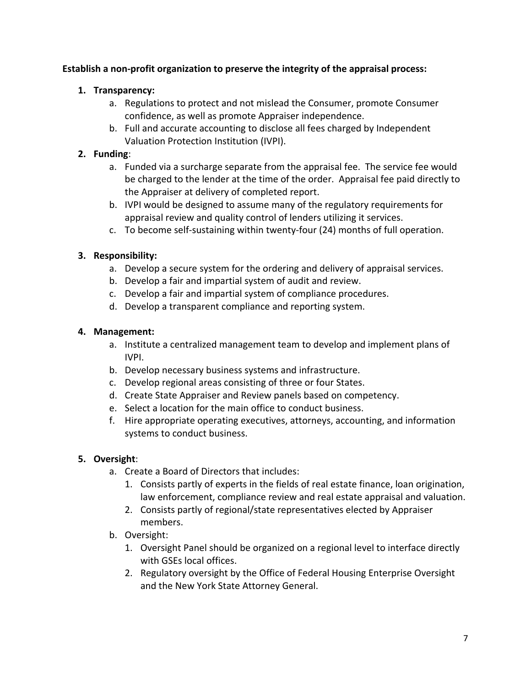#### **Establish a non‐profit organization to preserve the integrity of the appraisal process:**

#### **1. Transparency:**

- a. Regulations to protect and not mislead the Consumer, promote Consumer confidence, as well as promote Appraiser independence.
- b. Full and accurate accounting to disclose all fees charged by Independent Valuation Protection Institution (IVPI).

#### **2. Funding**:

- a. Funded via a surcharge separate from the appraisal fee. The service fee would be charged to the lender at the time of the order. Appraisal fee paid directly to the Appraiser at delivery of completed report.
- b. IVPI would be designed to assume many of the regulatory requirements for appraisal review and quality control of lenders utilizing it services.
- c. To become self‐sustaining within twenty‐four (24) months of full operation.

#### **3. Responsibility:**

- a. Develop a secure system for the ordering and delivery of appraisal services.
- b. Develop a fair and impartial system of audit and review.
- c. Develop a fair and impartial system of compliance procedures.
- d. Develop a transparent compliance and reporting system.

#### **4. Management:**

- a. Institute a centralized management team to develop and implement plans of IVPI.
- b. Develop necessary business systems and infrastructure.
- c. Develop regional areas consisting of three or four States.
- d. Create State Appraiser and Review panels based on competency.
- e. Select a location for the main office to conduct business.
- f. Hire appropriate operating executives, attorneys, accounting, and information systems to conduct business.

#### **5. Oversight**:

- a. Create a Board of Directors that includes:
	- 1. Consists partly of experts in the fields of real estate finance, loan origination, law enforcement, compliance review and real estate appraisal and valuation.
	- 2. Consists partly of regional/state representatives elected by Appraiser members.
- b. Oversight:
	- 1. Oversight Panel should be organized on a regional level to interface directly with GSEs local offices.
	- 2. Regulatory oversight by the Office of Federal Housing Enterprise Oversight and the New York State Attorney General.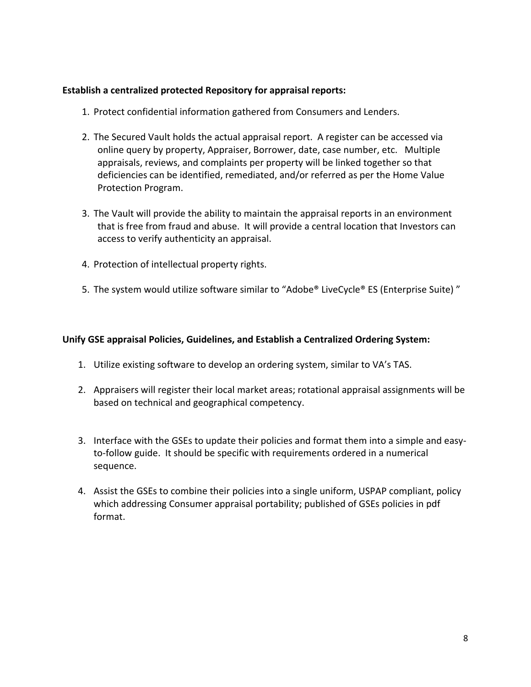#### **Establish a centralized protected Repository for appraisal reports:**

- 1. Protect confidential information gathered from Consumers and Lenders.
- 2. The Secured Vault holds the actual appraisal report. A register can be accessed via online query by property, Appraiser, Borrower, date, case number, etc. Multiple appraisals, reviews, and complaints per property will be linked together so that deficiencies can be identified, remediated, and/or referred as per the Home Value Protection Program.
- 3. The Vault will provide the ability to maintain the appraisal reports in an environment that is free from fraud and abuse. It will provide a central location that Investors can access to verify authenticity an appraisal.
- 4. Protection of intellectual property rights.
- 5. The system would utilize software similar to "Adobe® LiveCycle® ES (Enterprise Suite)"

#### **Unify GSE appraisal Policies, Guidelines, and Establish a Centralized Ordering System:**

- 1. Utilize existing software to develop an ordering system, similar to VA's TAS.
- 2. Appraisers will register their local market areas; rotational appraisal assignments will be based on technical and geographical competency.
- 3. Interface with the GSEs to update their policies and format them into a simple and easy‐ to-follow guide. It should be specific with requirements ordered in a numerical sequence.
- 4. Assist the GSEs to combine their policies into a single uniform, USPAP compliant, policy which addressing Consumer appraisal portability; published of GSEs policies in pdf format.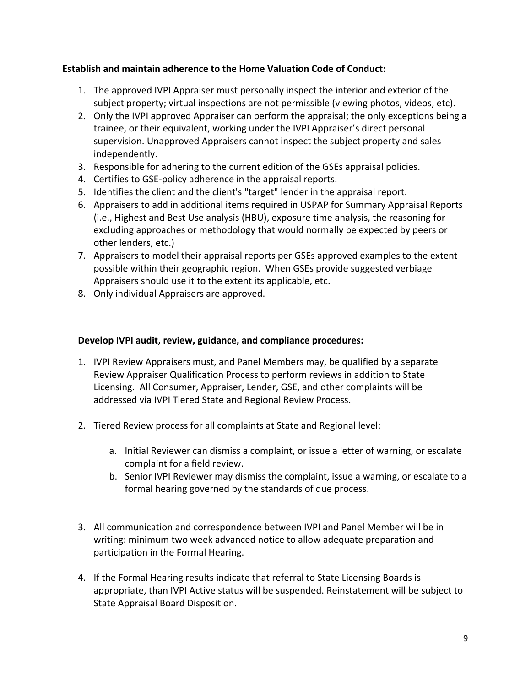#### **Establish and maintain adherence to the Home Valuation Code of Conduct:**

- 1. The approved IVPI Appraiser must personally inspect the interior and exterior of the subject property; virtual inspections are not permissible (viewing photos, videos, etc).
- 2. Only the IVPI approved Appraiser can perform the appraisal; the only exceptions being a trainee, or their equivalent, working under the IVPI Appraiser's direct personal supervision. Unapproved Appraisers cannot inspect the subject property and sales independently.
- 3. Responsible for adhering to the current edition of the GSEs appraisal policies.
- 4. Certifies to GSE‐policy adherence in the appraisal reports.
- 5. Identifies the client and the client's "target" lender in the appraisal report.
- 6. Appraisers to add in additional items required in USPAP for Summary Appraisal Reports (i.e., Highest and Best Use analysis (HBU), exposure time analysis, the reasoning for excluding approaches or methodology that would normally be expected by peers or other lenders, etc.)
- 7. Appraisers to model their appraisal reports per GSEs approved examples to the extent possible within their geographic region. When GSEs provide suggested verbiage Appraisers should use it to the extent its applicable, etc.
- 8. Only individual Appraisers are approved.

#### **Develop IVPI audit, review, guidance, and compliance procedures:**

- 1. IVPI Review Appraisers must, and Panel Members may, be qualified by a separate Review Appraiser Qualification Process to perform reviews in addition to State Licensing. All Consumer, Appraiser, Lender, GSE, and other complaints will be addressed via IVPI Tiered State and Regional Review Process.
- 2. Tiered Review process for all complaints at State and Regional level:
	- a. Initial Reviewer can dismiss a complaint, or issue a letter of warning, or escalate complaint for a field review.
	- b. Senior IVPI Reviewer may dismiss the complaint, issue a warning, or escalate to a formal hearing governed by the standards of due process.
- 3. All communication and correspondence between IVPI and Panel Member will be in writing: minimum two week advanced notice to allow adequate preparation and participation in the Formal Hearing.
- 4. If the Formal Hearing results indicate that referral to State Licensing Boards is appropriate, than IVPI Active status will be suspended. Reinstatement will be subject to State Appraisal Board Disposition.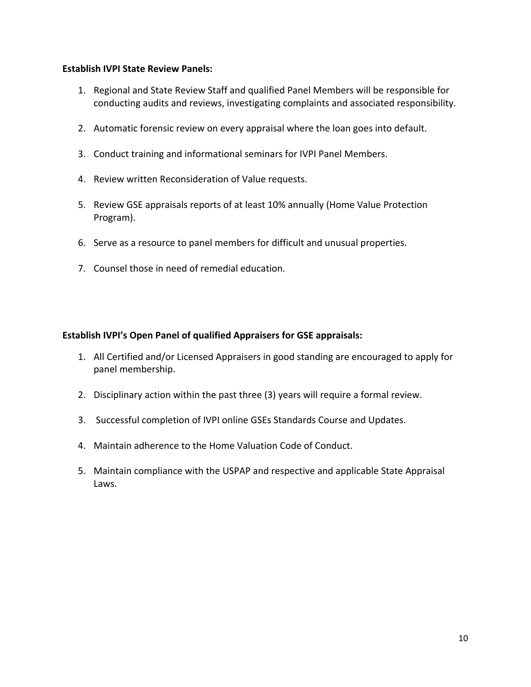#### **Establish IVPI State Review Panels:**

- 1. Regional and State Review Staff and qualified Panel Members will be responsible for conducting audits and reviews, investigating complaints and associated responsibility.
- 2. Automatic forensic review on every appraisal where the loan goes into default.
- 3. Conduct training and informational seminars for IVPI Panel Members.
- 4. Review written Reconsideration of Value requests.
- 5. Review GSE appraisals reports of at least 10% annually (Home Value Protection Program).
- 6. Serve as a resource to panel members for difficult and unusual properties.
- 7. Counsel those in need of remedial education.

#### **Establish IVPI's Open Panel of qualified Appraisers for GSE appraisals:**

- 1. All Certified and/or Licensed Appraisers in good standing are encouraged to apply for panel membership.
- 2. Disciplinary action within the past three (3) years will require a formal review.
- 3. Successful completion of IVPI online GSEs Standards Course and Updates.
- 4. Maintain adherence to the Home Valuation Code of Conduct.
- 5. Maintain compliance with the USPAP and respective and applicable State Appraisal Laws.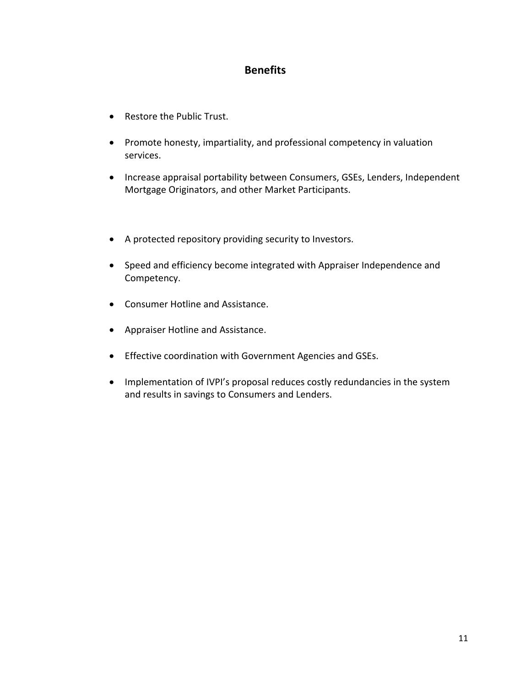#### **Benefits**

- Restore the Public Trust.
- Promote honesty, impartiality, and professional competency in valuation services.
- Increase appraisal portability between Consumers, GSEs, Lenders, Independent Mortgage Originators, and other Market Participants.
- A protected repository providing security to Investors.
- Speed and efficiency become integrated with Appraiser Independence and Competency.
- Consumer Hotline and Assistance.
- Appraiser Hotline and Assistance.
- Effective coordination with Government Agencies and GSEs.
- Implementation of IVPI's proposal reduces costly redundancies in the system and results in savings to Consumers and Lenders.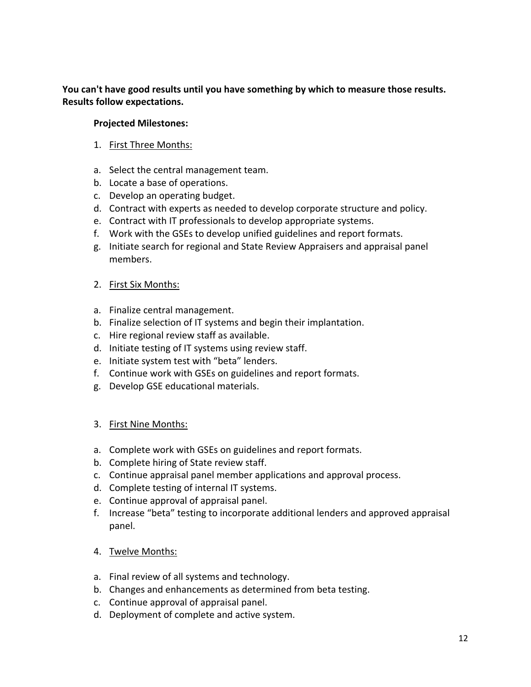**You can't have good results until you have something by which to measure those results. Results follow expectations.** 

#### **Projected Milestones:**

- 1. First Three Months:
- a. Select the central management team.
- b. Locate a base of operations.
- c. Develop an operating budget.
- d. Contract with experts as needed to develop corporate structure and policy.
- e. Contract with IT professionals to develop appropriate systems.
- f. Work with the GSEs to develop unified guidelines and report formats.
- g. Initiate search for regional and State Review Appraisers and appraisal panel members.
- 2. First Six Months:
- a. Finalize central management.
- b. Finalize selection of IT systems and begin their implantation.
- c. Hire regional review staff as available.
- d. Initiate testing of IT systems using review staff.
- e. Initiate system test with "beta" lenders.
- f. Continue work with GSEs on guidelines and report formats.
- g. Develop GSE educational materials.

#### 3. First Nine Months:

- a. Complete work with GSEs on guidelines and report formats.
- b. Complete hiring of State review staff.
- c. Continue appraisal panel member applications and approval process.
- d. Complete testing of internal IT systems.
- e. Continue approval of appraisal panel.
- f. Increase "beta" testing to incorporate additional lenders and approved appraisal panel.
- 4. Twelve Months:
- a. Final review of all systems and technology.
- b. Changes and enhancements as determined from beta testing.
- c. Continue approval of appraisal panel.
- d. Deployment of complete and active system.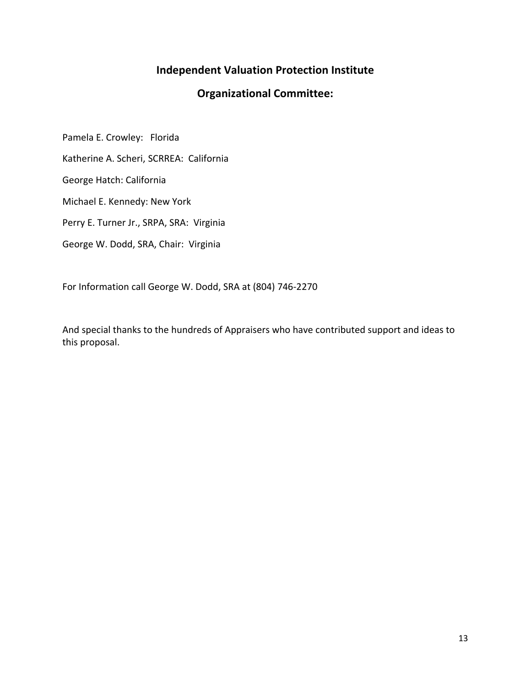## **Independent Valuation Protection Institute**

## **Organizational Committee:**

Pamela E. Crowley: Florida

Katherine A. Scheri, SCRREA: California

George Hatch: California

Michael E. Kennedy: New York

Perry E. Turner Jr., SRPA, SRA: Virginia

George W. Dodd, SRA, Chair: Virginia

For Information call George W. Dodd, SRA at (804) 746‐2270

And special thanks to the hundreds of Appraisers who have contributed support and ideas to this proposal.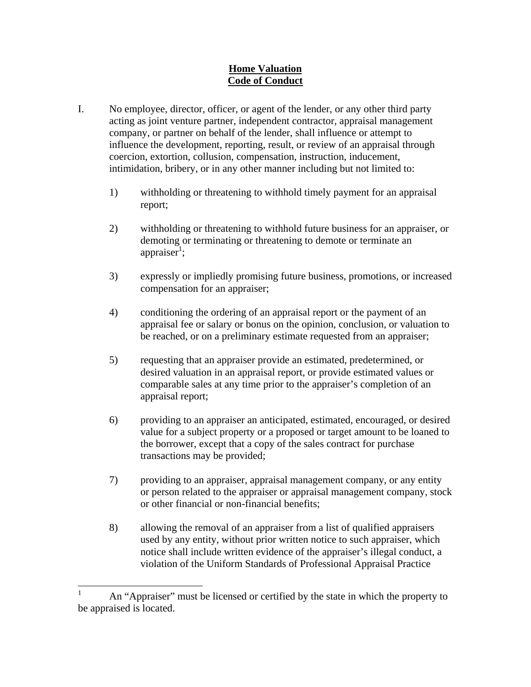#### **Home Valuation Code of Conduct**

- I. No employee, director, officer, or agent of the lender, or any other third party acting as joint venture partner, independent contractor, appraisal management company, or partner on behalf of the lender, shall influence or attempt to influence the development, reporting, result, or review of an appraisal through coercion, extortion, collusion, compensation, instruction, inducement, intimidation, bribery, or in any other manner including but not limited to:
	- 1) withholding or threatening to withhold timely payment for an appraisal report;
	- 2) withholding or threatening to withhold future business for an appraiser, or demoting or terminating or threatening to demote or terminate an appraiser<sup>1</sup>;
	- 3) expressly or impliedly promising future business, promotions, or increased compensation for an appraiser;
	- 4) conditioning the ordering of an appraisal report or the payment of an appraisal fee or salary or bonus on the opinion, conclusion, or valuation to be reached, or on a preliminary estimate requested from an appraiser;
	- 5) requesting that an appraiser provide an estimated, predetermined, or desired valuation in an appraisal report, or provide estimated values or comparable sales at any time prior to the appraiser's completion of an appraisal report;
	- 6) providing to an appraiser an anticipated, estimated, encouraged, or desired value for a subject property or a proposed or target amount to be loaned to the borrower, except that a copy of the sales contract for purchase transactions may be provided;
	- 7) providing to an appraiser, appraisal management company, or any entity or person related to the appraiser or appraisal management company, stock or other financial or non-financial benefits;
	- 8) allowing the removal of an appraiser from a list of qualified appraisers used by any entity, without prior written notice to such appraiser, which notice shall include written evidence of the appraiser's illegal conduct, a violation of the Uniform Standards of Professional Appraisal Practice

<sup>|&</sup>lt;br>|<br>| An "Appraiser" must be licensed or certified by the state in which the property to be appraised is located.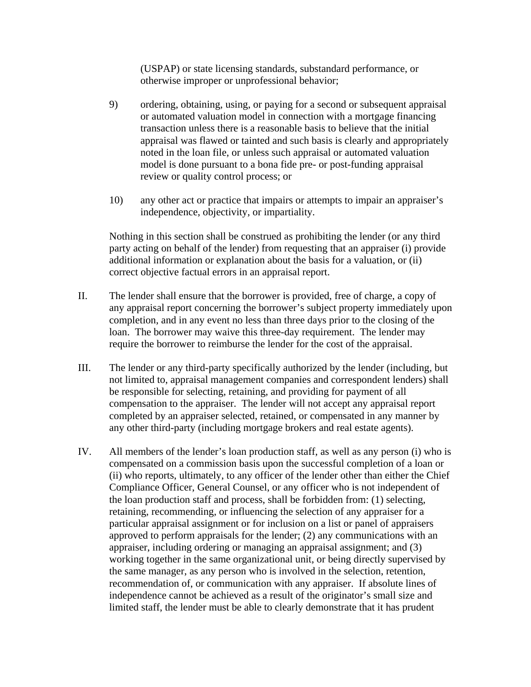(USPAP) or state licensing standards, substandard performance, or otherwise improper or unprofessional behavior;

- 9) ordering, obtaining, using, or paying for a second or subsequent appraisal or automated valuation model in connection with a mortgage financing transaction unless there is a reasonable basis to believe that the initial appraisal was flawed or tainted and such basis is clearly and appropriately noted in the loan file, or unless such appraisal or automated valuation model is done pursuant to a bona fide pre- or post-funding appraisal review or quality control process; or
- 10) any other act or practice that impairs or attempts to impair an appraiser's independence, objectivity, or impartiality.

Nothing in this section shall be construed as prohibiting the lender (or any third party acting on behalf of the lender) from requesting that an appraiser (i) provide additional information or explanation about the basis for a valuation, or (ii) correct objective factual errors in an appraisal report.

- II. The lender shall ensure that the borrower is provided, free of charge, a copy of any appraisal report concerning the borrower's subject property immediately upon completion, and in any event no less than three days prior to the closing of the loan. The borrower may waive this three-day requirement. The lender may require the borrower to reimburse the lender for the cost of the appraisal.
- III. The lender or any third-party specifically authorized by the lender (including, but not limited to, appraisal management companies and correspondent lenders) shall be responsible for selecting, retaining, and providing for payment of all compensation to the appraiser. The lender will not accept any appraisal report completed by an appraiser selected, retained, or compensated in any manner by any other third-party (including mortgage brokers and real estate agents).
- IV. All members of the lender's loan production staff, as well as any person (i) who is compensated on a commission basis upon the successful completion of a loan or (ii) who reports, ultimately, to any officer of the lender other than either the Chief Compliance Officer, General Counsel, or any officer who is not independent of the loan production staff and process, shall be forbidden from: (1) selecting, retaining, recommending, or influencing the selection of any appraiser for a particular appraisal assignment or for inclusion on a list or panel of appraisers approved to perform appraisals for the lender; (2) any communications with an appraiser, including ordering or managing an appraisal assignment; and (3) working together in the same organizational unit, or being directly supervised by the same manager, as any person who is involved in the selection, retention, recommendation of, or communication with any appraiser. If absolute lines of independence cannot be achieved as a result of the originator's small size and limited staff, the lender must be able to clearly demonstrate that it has prudent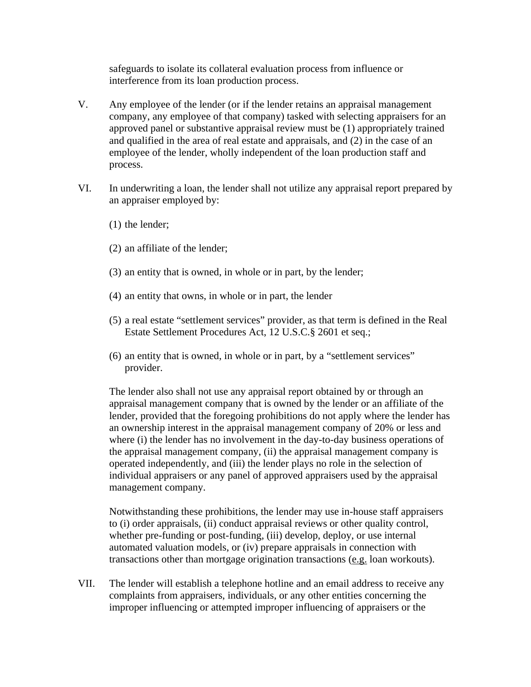safeguards to isolate its collateral evaluation process from influence or interference from its loan production process.

- V. Any employee of the lender (or if the lender retains an appraisal management company, any employee of that company) tasked with selecting appraisers for an approved panel or substantive appraisal review must be (1) appropriately trained and qualified in the area of real estate and appraisals, and (2) in the case of an employee of the lender, wholly independent of the loan production staff and process.
- VI.In underwriting a loan, the lender shall not utilize any appraisal report prepared by an appraiser employed by:
	- (1) the lender;
	- (2) an affiliate of the lender;
	- (3) an entity that is owned, in whole or in part, by the lender;
	- (4) an entity that owns, in whole or in part, the lender
	- (5) a real estate "settlement services" provider, as that term is defined in the Real Estate Settlement Procedures Act, 12 U.S.C.§ 2601 et seq.;
	- (6) an entity that is owned, in whole or in part, by a "settlement services" provider.

The lender also shall not use any appraisal report obtained by or through an appraisal management company that is owned by the lender or an affiliate of the lender, provided that the foregoing prohibitions do not apply where the lender has an ownership interest in the appraisal management company of 20% or less and where (i) the lender has no involvement in the day-to-day business operations of the appraisal management company, (ii) the appraisal management company is operated independently, and (iii) the lender plays no role in the selection of individual appraisers or any panel of approved appraisers used by the appraisal management company.

Notwithstanding these prohibitions, the lender may use in-house staff appraisers to (i) order appraisals, (ii) conduct appraisal reviews or other quality control, whether pre-funding or post-funding, (iii) develop, deploy, or use internal automated valuation models, or (iv) prepare appraisals in connection with transactions other than mortgage origination transactions (e.g. loan workouts).

VII. The lender will establish a telephone hotline and an email address to receive any complaints from appraisers, individuals, or any other entities concerning the improper influencing or attempted improper influencing of appraisers or the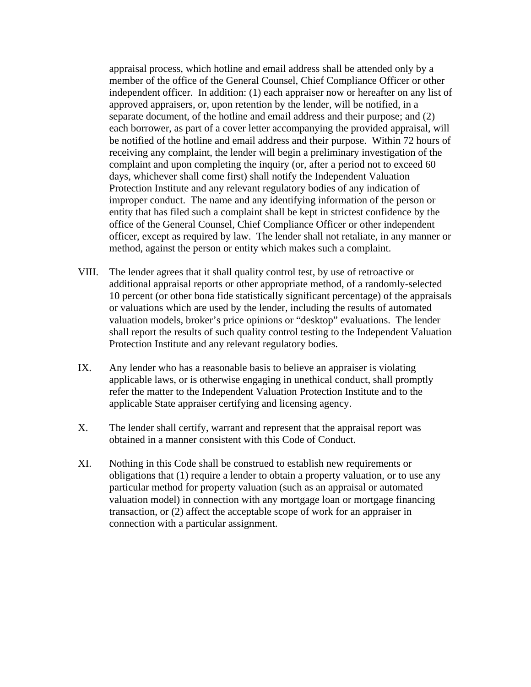appraisal process, which hotline and email address shall be attended only by a member of the office of the General Counsel, Chief Compliance Officer or other independent officer. In addition: (1) each appraiser now or hereafter on any list of approved appraisers, or, upon retention by the lender, will be notified, in a separate document, of the hotline and email address and their purpose; and (2) each borrower, as part of a cover letter accompanying the provided appraisal, will be notified of the hotline and email address and their purpose. Within 72 hours of receiving any complaint, the lender will begin a preliminary investigation of the complaint and upon completing the inquiry (or, after a period not to exceed 60 days, whichever shall come first) shall notify the Independent Valuation Protection Institute and any relevant regulatory bodies of any indication of improper conduct. The name and any identifying information of the person or entity that has filed such a complaint shall be kept in strictest confidence by the office of the General Counsel, Chief Compliance Officer or other independent officer, except as required by law. The lender shall not retaliate, in any manner or method, against the person or entity which makes such a complaint.

- VIII. The lender agrees that it shall quality control test, by use of retroactive or additional appraisal reports or other appropriate method, of a randomly-selected 10 percent (or other bona fide statistically significant percentage) of the appraisals or valuations which are used by the lender, including the results of automated valuation models, broker's price opinions or "desktop" evaluations. The lender shall report the results of such quality control testing to the Independent Valuation Protection Institute and any relevant regulatory bodies.
- IX. Any lender who has a reasonable basis to believe an appraiser is violating applicable laws, or is otherwise engaging in unethical conduct, shall promptly refer the matter to the Independent Valuation Protection Institute and to the applicable State appraiser certifying and licensing agency.
- X. The lender shall certify, warrant and represent that the appraisal report was obtained in a manner consistent with this Code of Conduct.
- XI. Nothing in this Code shall be construed to establish new requirements or obligations that (1) require a lender to obtain a property valuation, or to use any particular method for property valuation (such as an appraisal or automated valuation model) in connection with any mortgage loan or mortgage financing transaction, or (2) affect the acceptable scope of work for an appraiser in connection with a particular assignment.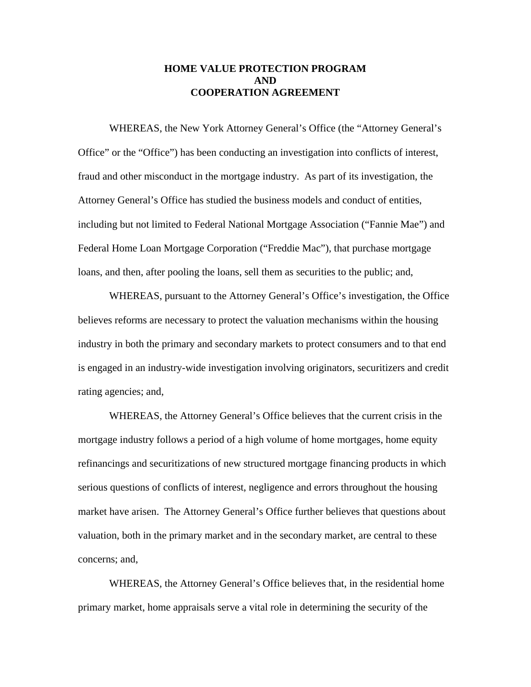#### **HOME VALUE PROTECTION PROGRAM AND COOPERATION AGREEMENT**

 WHEREAS, the New York Attorney General's Office (the "Attorney General's Office" or the "Office") has been conducting an investigation into conflicts of interest, fraud and other misconduct in the mortgage industry. As part of its investigation, the Attorney General's Office has studied the business models and conduct of entities, including but not limited to Federal National Mortgage Association ("Fannie Mae") and Federal Home Loan Mortgage Corporation ("Freddie Mac"), that purchase mortgage loans, and then, after pooling the loans, sell them as securities to the public; and,

 WHEREAS, pursuant to the Attorney General's Office's investigation, the Office believes reforms are necessary to protect the valuation mechanisms within the housing industry in both the primary and secondary markets to protect consumers and to that end is engaged in an industry-wide investigation involving originators, securitizers and credit rating agencies; and,

 WHEREAS, the Attorney General's Office believes that the current crisis in the mortgage industry follows a period of a high volume of home mortgages, home equity refinancings and securitizations of new structured mortgage financing products in which serious questions of conflicts of interest, negligence and errors throughout the housing market have arisen. The Attorney General's Office further believes that questions about valuation, both in the primary market and in the secondary market, are central to these concerns; and,

 WHEREAS, the Attorney General's Office believes that, in the residential home primary market, home appraisals serve a vital role in determining the security of the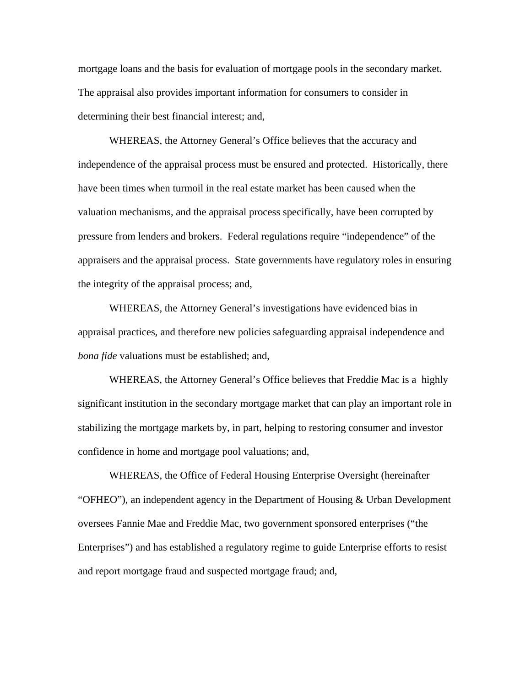mortgage loans and the basis for evaluation of mortgage pools in the secondary market. The appraisal also provides important information for consumers to consider in determining their best financial interest; and,

 WHEREAS, the Attorney General's Office believes that the accuracy and independence of the appraisal process must be ensured and protected. Historically, there have been times when turmoil in the real estate market has been caused when the valuation mechanisms, and the appraisal process specifically, have been corrupted by pressure from lenders and brokers. Federal regulations require "independence" of the appraisers and the appraisal process. State governments have regulatory roles in ensuring the integrity of the appraisal process; and,

 WHEREAS, the Attorney General's investigations have evidenced bias in appraisal practices, and therefore new policies safeguarding appraisal independence and *bona fide* valuations must be established; and,

 WHEREAS, the Attorney General's Office believes that Freddie Mac is a highly significant institution in the secondary mortgage market that can play an important role in stabilizing the mortgage markets by, in part, helping to restoring consumer and investor confidence in home and mortgage pool valuations; and,

 WHEREAS, the Office of Federal Housing Enterprise Oversight (hereinafter "OFHEO"), an independent agency in the Department of Housing  $&$  Urban Development oversees Fannie Mae and Freddie Mac, two government sponsored enterprises ("the Enterprises") and has established a regulatory regime to guide Enterprise efforts to resist and report mortgage fraud and suspected mortgage fraud; and,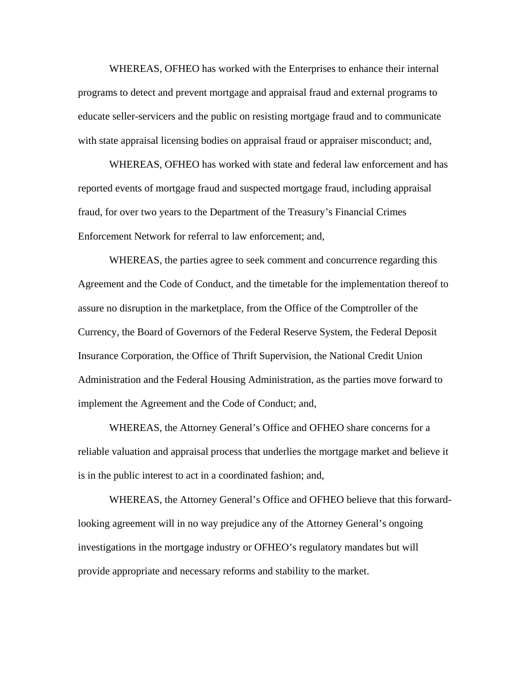WHEREAS, OFHEO has worked with the Enterprises to enhance their internal programs to detect and prevent mortgage and appraisal fraud and external programs to educate seller-servicers and the public on resisting mortgage fraud and to communicate with state appraisal licensing bodies on appraisal fraud or appraiser misconduct; and,

 WHEREAS, OFHEO has worked with state and federal law enforcement and has reported events of mortgage fraud and suspected mortgage fraud, including appraisal fraud, for over two years to the Department of the Treasury's Financial Crimes Enforcement Network for referral to law enforcement; and,

 WHEREAS, the parties agree to seek comment and concurrence regarding this Agreement and the Code of Conduct, and the timetable for the implementation thereof to assure no disruption in the marketplace, from the Office of the Comptroller of the Currency, the Board of Governors of the Federal Reserve System, the Federal Deposit Insurance Corporation, the Office of Thrift Supervision, the National Credit Union Administration and the Federal Housing Administration, as the parties move forward to implement the Agreement and the Code of Conduct; and,

 WHEREAS, the Attorney General's Office and OFHEO share concerns for a reliable valuation and appraisal process that underlies the mortgage market and believe it is in the public interest to act in a coordinated fashion; and,

 WHEREAS, the Attorney General's Office and OFHEO believe that this forwardlooking agreement will in no way prejudice any of the Attorney General's ongoing investigations in the mortgage industry or OFHEO's regulatory mandates but will provide appropriate and necessary reforms and stability to the market.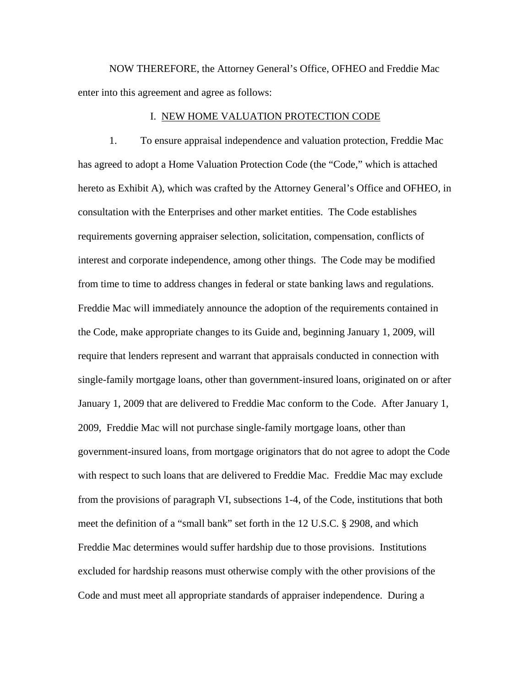NOW THEREFORE, the Attorney General's Office, OFHEO and Freddie Mac enter into this agreement and agree as follows:

#### I. NEW HOME VALUATION PROTECTION CODE

 1. To ensure appraisal independence and valuation protection, Freddie Mac has agreed to adopt a Home Valuation Protection Code (the "Code," which is attached hereto as Exhibit A), which was crafted by the Attorney General's Office and OFHEO, in consultation with the Enterprises and other market entities. The Code establishes requirements governing appraiser selection, solicitation, compensation, conflicts of interest and corporate independence, among other things. The Code may be modified from time to time to address changes in federal or state banking laws and regulations. Freddie Mac will immediately announce the adoption of the requirements contained in the Code, make appropriate changes to its Guide and, beginning January 1, 2009, will require that lenders represent and warrant that appraisals conducted in connection with single-family mortgage loans, other than government-insured loans, originated on or after January 1, 2009 that are delivered to Freddie Mac conform to the Code. After January 1, 2009, Freddie Mac will not purchase single-family mortgage loans, other than government-insured loans, from mortgage originators that do not agree to adopt the Code with respect to such loans that are delivered to Freddie Mac. Freddie Mac may exclude from the provisions of paragraph VI, subsections 1-4, of the Code, institutions that both meet the definition of a "small bank" set forth in the 12 U.S.C. § 2908, and which Freddie Mac determines would suffer hardship due to those provisions. Institutions excluded for hardship reasons must otherwise comply with the other provisions of the Code and must meet all appropriate standards of appraiser independence. During a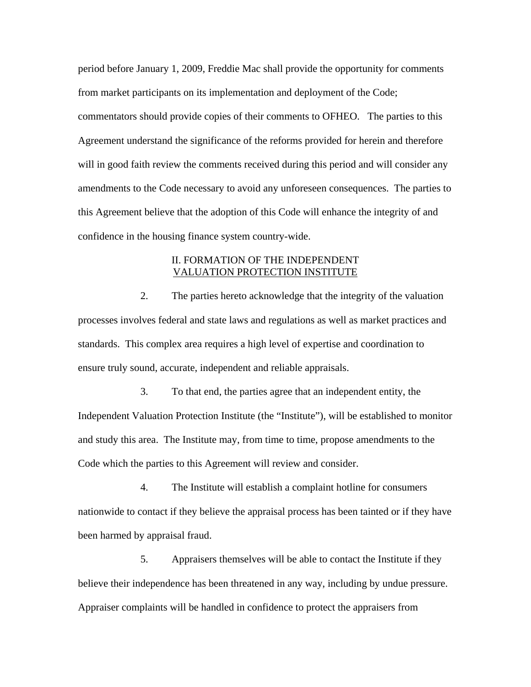period before January 1, 2009, Freddie Mac shall provide the opportunity for comments from market participants on its implementation and deployment of the Code; commentators should provide copies of their comments to OFHEO. The parties to this Agreement understand the significance of the reforms provided for herein and therefore will in good faith review the comments received during this period and will consider any amendments to the Code necessary to avoid any unforeseen consequences. The parties to this Agreement believe that the adoption of this Code will enhance the integrity of and confidence in the housing finance system country-wide.

#### II. FORMATION OF THE INDEPENDENT VALUATION PROTECTION INSTITUTE

 2. The parties hereto acknowledge that the integrity of the valuation processes involves federal and state laws and regulations as well as market practices and standards. This complex area requires a high level of expertise and coordination to ensure truly sound, accurate, independent and reliable appraisals.

 3. To that end, the parties agree that an independent entity, the Independent Valuation Protection Institute (the "Institute"), will be established to monitor and study this area. The Institute may, from time to time, propose amendments to the Code which the parties to this Agreement will review and consider.

 4. The Institute will establish a complaint hotline for consumers nationwide to contact if they believe the appraisal process has been tainted or if they have been harmed by appraisal fraud.

 5. Appraisers themselves will be able to contact the Institute if they believe their independence has been threatened in any way, including by undue pressure. Appraiser complaints will be handled in confidence to protect the appraisers from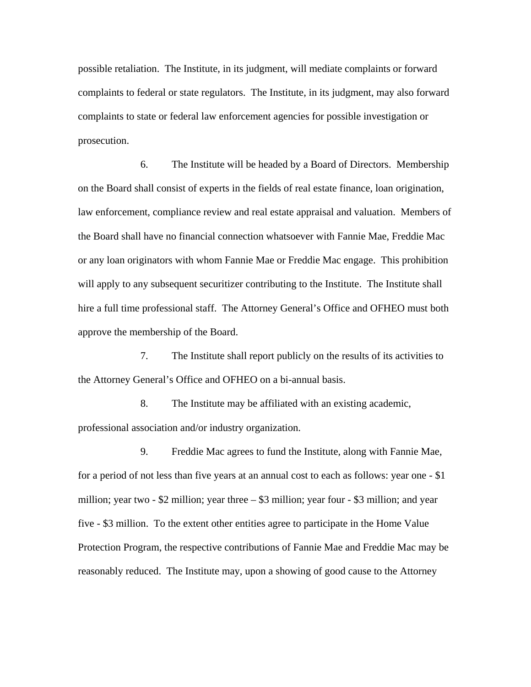possible retaliation. The Institute, in its judgment, will mediate complaints or forward complaints to federal or state regulators. The Institute, in its judgment, may also forward complaints to state or federal law enforcement agencies for possible investigation or prosecution.

 6. The Institute will be headed by a Board of Directors. Membership on the Board shall consist of experts in the fields of real estate finance, loan origination, law enforcement, compliance review and real estate appraisal and valuation. Members of the Board shall have no financial connection whatsoever with Fannie Mae, Freddie Mac or any loan originators with whom Fannie Mae or Freddie Mac engage. This prohibition will apply to any subsequent securitizer contributing to the Institute. The Institute shall hire a full time professional staff. The Attorney General's Office and OFHEO must both approve the membership of the Board.

 7. The Institute shall report publicly on the results of its activities to the Attorney General's Office and OFHEO on a bi-annual basis.

 8. The Institute may be affiliated with an existing academic, professional association and/or industry organization.

 9. Freddie Mac agrees to fund the Institute, along with Fannie Mae, for a period of not less than five years at an annual cost to each as follows: year one - \$1 million; year two  $-$  \$2 million; year three  $-$  \$3 million; year four  $-$  \$3 million; and year five - \$3 million. To the extent other entities agree to participate in the Home Value Protection Program, the respective contributions of Fannie Mae and Freddie Mac may be reasonably reduced. The Institute may, upon a showing of good cause to the Attorney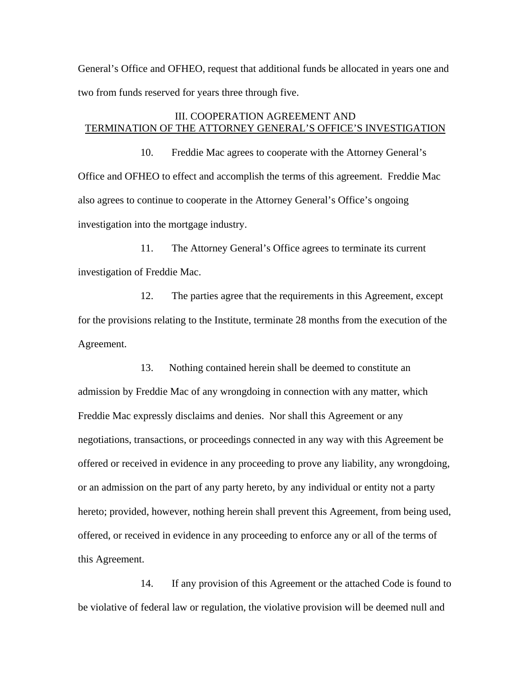General's Office and OFHEO, request that additional funds be allocated in years one and two from funds reserved for years three through five.

#### III. COOPERATION AGREEMENT AND TERMINATION OF THE ATTORNEY GENERAL'S OFFICE'S INVESTIGATION

 10. Freddie Mac agrees to cooperate with the Attorney General's Office and OFHEO to effect and accomplish the terms of this agreement. Freddie Mac also agrees to continue to cooperate in the Attorney General's Office's ongoing investigation into the mortgage industry.

 11. The Attorney General's Office agrees to terminate its current investigation of Freddie Mac.

 12. The parties agree that the requirements in this Agreement, except for the provisions relating to the Institute, terminate 28 months from the execution of the Agreement.

 13. Nothing contained herein shall be deemed to constitute an admission by Freddie Mac of any wrongdoing in connection with any matter, which Freddie Mac expressly disclaims and denies. Nor shall this Agreement or any negotiations, transactions, or proceedings connected in any way with this Agreement be offered or received in evidence in any proceeding to prove any liability, any wrongdoing, or an admission on the part of any party hereto, by any individual or entity not a party hereto; provided, however, nothing herein shall prevent this Agreement, from being used, offered, or received in evidence in any proceeding to enforce any or all of the terms of this Agreement.

 14. If any provision of this Agreement or the attached Code is found to be violative of federal law or regulation, the violative provision will be deemed null and